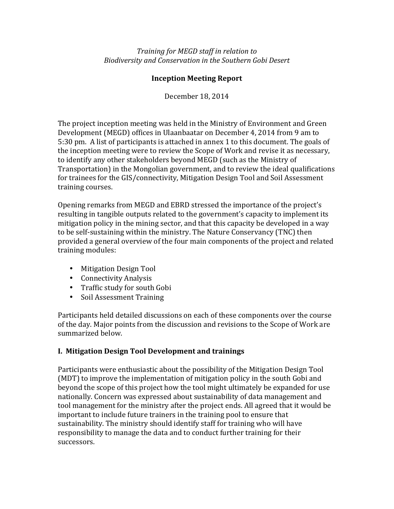Training for MEGD staff in relation to *Biodiversity and Conservation in the Southern Gobi Desert*

#### **Inception Meeting Report**

December 18, 2014

The project inception meeting was held in the Ministry of Environment and Green Development (MEGD) offices in Ulaanbaatar on December 4, 2014 from 9 am to 5:30 pm. A list of participants is attached in annex 1 to this document. The goals of the inception meeting were to review the Scope of Work and revise it as necessary, to identify any other stakeholders beyond MEGD (such as the Ministry of Transportation) in the Mongolian government, and to review the ideal qualifications for trainees for the GIS/connectivity, Mitigation Design Tool and Soil Assessment training courses.

Opening remarks from MEGD and EBRD stressed the importance of the project's resulting in tangible outputs related to the government's capacity to implement its mitigation policy in the mining sector, and that this capacity be developed in a way to be self-sustaining within the ministry. The Nature Conservancy (TNC) then provided a general overview of the four main components of the project and related training modules:

- Mitigation Design Tool
- Connectivity Analysis
- Traffic study for south Gobi
- Soil Assessment Training

Participants held detailed discussions on each of these components over the course of the day. Major points from the discussion and revisions to the Scope of Work are summarized below.

### **I. Mitigation Design Tool Development and trainings**

Participants were enthusiastic about the possibility of the Mitigation Design Tool (MDT) to improve the implementation of mitigation policy in the south Gobi and beyond the scope of this project how the tool might ultimately be expanded for use nationally. Concern was expressed about sustainability of data management and tool management for the ministry after the project ends. All agreed that it would be important to include future trainers in the training pool to ensure that sustainability. The ministry should identify staff for training who will have responsibility to manage the data and to conduct further training for their successors.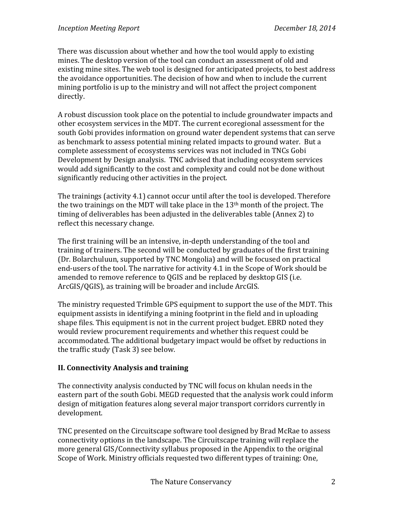There was discussion about whether and how the tool would apply to existing mines. The desktop version of the tool can conduct an assessment of old and existing mine sites. The web tool is designed for anticipated projects, to best address the avoidance opportunities. The decision of how and when to include the current mining portfolio is up to the ministry and will not affect the project component directly.

A robust discussion took place on the potential to include groundwater impacts and other ecosystem services in the MDT. The current ecoregional assessment for the south Gobi provides information on ground water dependent systems that can serve as benchmark to assess potential mining related impacts to ground water. But a complete assessment of ecosystems services was not included in TNCs Gobi Development by Design analysis. TNC advised that including ecosystem services would add significantly to the cost and complexity and could not be done without significantly reducing other activities in the project.

The trainings (activity  $4.1$ ) cannot occur until after the tool is developed. Therefore the two trainings on the MDT will take place in the  $13<sup>th</sup>$  month of the project. The timing of deliverables has been adjusted in the deliverables table (Annex 2) to reflect this necessary change.

The first training will be an intensive, in-depth understanding of the tool and training of trainers. The second will be conducted by graduates of the first training (Dr. Bolarchuluun, supported by TNC Mongolia) and will be focused on practical end-users of the tool. The narrative for activity 4.1 in the Scope of Work should be amended to remove reference to QGIS and be replaced by desktop GIS (i.e. ArcGIS/QGIS), as training will be broader and include ArcGIS.

The ministry requested Trimble GPS equipment to support the use of the MDT. This equipment assists in identifying a mining footprint in the field and in uploading shape files. This equipment is not in the current project budget. EBRD noted they would review procurement requirements and whether this request could be accommodated. The additional budgetary impact would be offset by reductions in the traffic study (Task 3) see below.

### **II. Connectivity Analysis and training**

The connectivity analysis conducted by TNC will focus on khulan needs in the eastern part of the south Gobi. MEGD requested that the analysis work could inform design of mitigation features along several major transport corridors currently in development.

TNC presented on the Circuitscape software tool designed by Brad McRae to assess connectivity options in the landscape. The Circuitscape training will replace the more general GIS/Connectivity syllabus proposed in the Appendix to the original Scope of Work. Ministry officials requested two different types of training: One,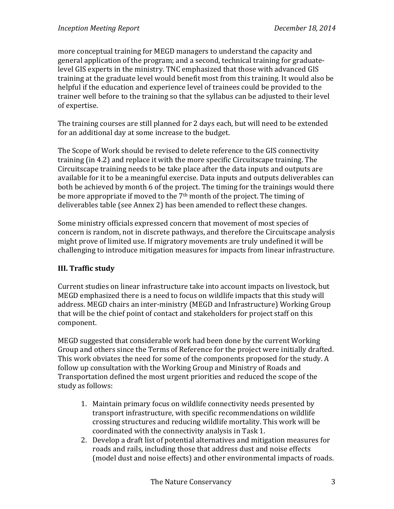more conceptual training for MEGD managers to understand the capacity and general application of the program; and a second, technical training for graduatelevel GIS experts in the ministry. TNC emphasized that those with advanced GIS training at the graduate level would benefit most from this training. It would also be helpful if the education and experience level of trainees could be provided to the trainer well before to the training so that the syllabus can be adjusted to their level of expertise.

The training courses are still planned for 2 days each, but will need to be extended for an additional day at some increase to the budget.

The Scope of Work should be revised to delete reference to the GIS connectivity training (in 4.2) and replace it with the more specific Circuitscape training. The Circuitscape training needs to be take place after the data inputs and outputs are available for it to be a meaningful exercise. Data inputs and outputs deliverables can both be achieved by month 6 of the project. The timing for the trainings would there be more appropriate if moved to the  $7<sup>th</sup>$  month of the project. The timing of deliverables table (see Annex 2) has been amended to reflect these changes.

Some ministry officials expressed concern that movement of most species of concern is random, not in discrete pathways, and therefore the Circuitscape analysis might prove of limited use. If migratory movements are truly undefined it will be challenging to introduce mitigation measures for impacts from linear infrastructure.

### **III.** Traffic study

Current studies on linear infrastructure take into account impacts on livestock, but MEGD emphasized there is a need to focus on wildlife impacts that this study will address. MEGD chairs an inter-ministry (MEGD and Infrastructure) Working Group that will be the chief point of contact and stakeholders for project staff on this component. 

MEGD suggested that considerable work had been done by the current Working Group and others since the Terms of Reference for the project were initially drafted. This work obviates the need for some of the components proposed for the study. A follow up consultation with the Working Group and Ministry of Roads and Transportation defined the most urgent priorities and reduced the scope of the study as follows:

- 1. Maintain primary focus on wildlife connectivity needs presented by transport infrastructure, with specific recommendations on wildlife crossing structures and reducing wildlife mortality. This work will be coordinated with the connectivity analysis in Task 1.
- 2. Develop a draft list of potential alternatives and mitigation measures for roads and rails, including those that address dust and noise effects (model dust and noise effects) and other environmental impacts of roads.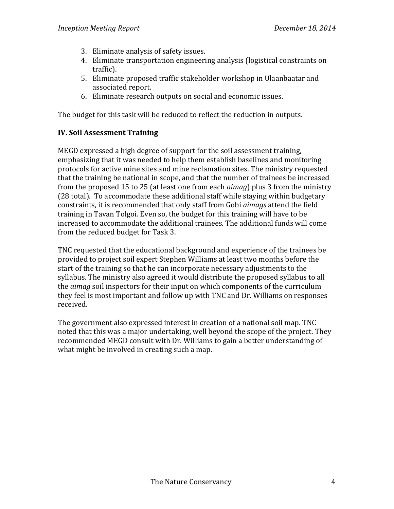- 3. Eliminate analysis of safety issues.
- 4. Eliminate transportation engineering analysis (logistical constraints on traffic).
- 5. Eliminate proposed traffic stakeholder workshop in Ulaanbaatar and associated report.
- 6. Eliminate research outputs on social and economic issues.

The budget for this task will be reduced to reflect the reduction in outputs.

### **IV. Soil Assessment Training**

MEGD expressed a high degree of support for the soil assessment training, emphasizing that it was needed to help them establish baselines and monitoring protocols for active mine sites and mine reclamation sites. The ministry requested that the training be national in scope, and that the number of trainees be increased from the proposed 15 to 25 (at least one from each *aimag*) plus 3 from the ministry (28 total). To accommodate these additional staff while staying within budgetary constraints, it is recommended that only staff from Gobi *aimags* attend the field training in Tavan Tolgoi. Even so, the budget for this training will have to be increased to accommodate the additional trainees. The additional funds will come from the reduced budget for Task 3.

TNC requested that the educational background and experience of the trainees be provided to project soil expert Stephen Williams at least two months before the start of the training so that he can incorporate necessary adjustments to the syllabus. The ministry also agreed it would distribute the proposed syllabus to all the *aimag* soil inspectors for their input on which components of the curriculum they feel is most important and follow up with TNC and Dr. Williams on responses received.

The government also expressed interest in creation of a national soil map. TNC noted that this was a major undertaking, well beyond the scope of the project. They recommended MEGD consult with Dr. Williams to gain a better understanding of what might be involved in creating such a map.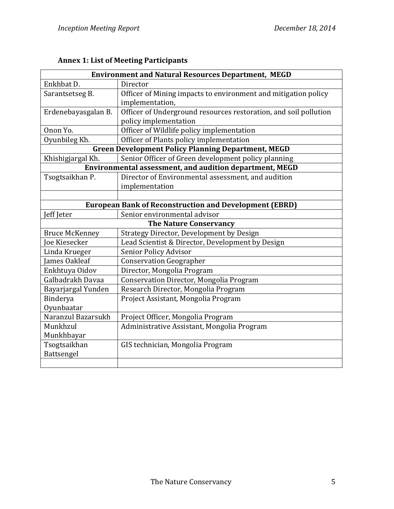| <b>Environment and Natural Resources Department, MEGD</b>     |                                                                                           |  |  |  |
|---------------------------------------------------------------|-------------------------------------------------------------------------------------------|--|--|--|
| Enkhbat D.                                                    | Director                                                                                  |  |  |  |
| Sarantsetseg B.                                               | Officer of Mining impacts to environment and mitigation policy<br>implementation,         |  |  |  |
| Erdenebayasgalan B.                                           | Officer of Underground resources restoration, and soil pollution<br>policy implementation |  |  |  |
| Onon Yo.                                                      | Officer of Wildlife policy implementation                                                 |  |  |  |
| Oyunbileg Kh.                                                 | Officer of Plants policy implementation                                                   |  |  |  |
|                                                               | <b>Green Development Policy Planning Department, MEGD</b>                                 |  |  |  |
| Khishigjargal Kh.                                             | Senior Officer of Green development policy planning                                       |  |  |  |
| Environmental assessment, and audition department, MEGD       |                                                                                           |  |  |  |
| Tsogtsaikhan P.                                               | Director of Environmental assessment, and audition                                        |  |  |  |
|                                                               | implementation                                                                            |  |  |  |
|                                                               |                                                                                           |  |  |  |
| <b>European Bank of Reconstruction and Development (EBRD)</b> |                                                                                           |  |  |  |
| Jeff Jeter                                                    | Senior environmental advisor                                                              |  |  |  |
| <b>The Nature Conservancy</b>                                 |                                                                                           |  |  |  |
| <b>Bruce McKenney</b>                                         | <b>Strategy Director, Development by Design</b>                                           |  |  |  |
| <b>Joe Kiesecker</b>                                          | Lead Scientist & Director, Development by Design                                          |  |  |  |
| Linda Krueger                                                 | Senior Policy Advisor                                                                     |  |  |  |
| James Oakleaf                                                 | <b>Conservation Geographer</b>                                                            |  |  |  |
| Enkhtuya Oidov                                                | Director, Mongolia Program                                                                |  |  |  |
| Galbadrakh Davaa                                              | Conservation Director, Mongolia Program                                                   |  |  |  |
| Bayarjargal Yunden                                            | Research Director, Mongolia Program                                                       |  |  |  |
| Binderya                                                      | Project Assistant, Mongolia Program                                                       |  |  |  |
| Oyunbaatar                                                    |                                                                                           |  |  |  |
| Naranzul Bazarsukh                                            | Project Officer, Mongolia Program                                                         |  |  |  |
| Munkhzul                                                      | Administrative Assistant, Mongolia Program                                                |  |  |  |
| Munkhbayar                                                    |                                                                                           |  |  |  |
| Tsogtsaikhan                                                  | GIS technician, Mongolia Program                                                          |  |  |  |
| Battsengel                                                    |                                                                                           |  |  |  |
|                                                               |                                                                                           |  |  |  |

## **Annex 1: List of Meeting Participants**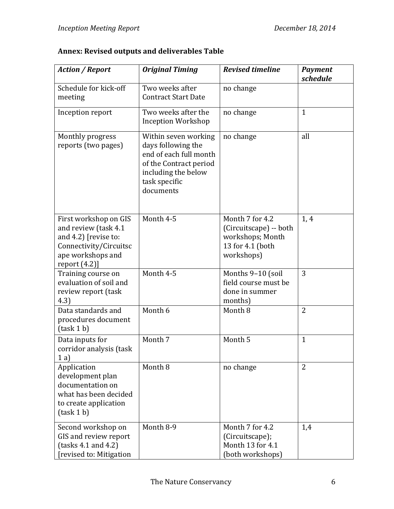| <b>Action / Report</b>                                                                                                                   | <b>Original Timing</b>                                                                                                                              | <b>Revised timeline</b>                                                                         | <b>Payment</b><br>schedule |
|------------------------------------------------------------------------------------------------------------------------------------------|-----------------------------------------------------------------------------------------------------------------------------------------------------|-------------------------------------------------------------------------------------------------|----------------------------|
| Schedule for kick-off<br>meeting                                                                                                         | Two weeks after<br><b>Contract Start Date</b>                                                                                                       | no change                                                                                       |                            |
| Inception report                                                                                                                         | Two weeks after the<br><b>Inception Workshop</b>                                                                                                    | no change                                                                                       | $\mathbf{1}$               |
| Monthly progress<br>reports (two pages)                                                                                                  | Within seven working<br>days following the<br>end of each full month<br>of the Contract period<br>including the below<br>task specific<br>documents | no change                                                                                       | all                        |
| First workshop on GIS<br>and review (task 4.1<br>and 4.2) [revise to:<br>Connectivity/Circuitsc<br>ape workshops and<br>report $(4.2)$ ] | Month 4-5                                                                                                                                           | Month 7 for 4.2<br>(Circuitscape) -- both<br>workshops; Month<br>13 for 4.1 (both<br>workshops) | 1, 4                       |
| Training course on<br>evaluation of soil and<br>review report (task<br>4.3)                                                              | Month 4-5                                                                                                                                           | Months 9-10 (soil<br>field course must be<br>done in summer<br>months)                          | 3                          |
| Data standards and<br>procedures document<br>$(task 1 b)$                                                                                | Month 6                                                                                                                                             | Month 8                                                                                         | 2                          |
| Data inputs for<br>corridor analysis (task<br>1a)                                                                                        | Month 7                                                                                                                                             | Month <sub>5</sub>                                                                              | $\mathbf{1}$               |
| Application<br>development plan<br>documentation on<br>what has been decided<br>to create application<br>$(task 1 b)$                    | Month 8                                                                                                                                             | no change                                                                                       | 2                          |
| Second workshop on<br>GIS and review report<br>(tasks 4.1 and 4.2)<br>[revised to: Mitigation                                            | Month 8-9                                                                                                                                           | Month 7 for 4.2<br>(Circuitscape);<br>Month 13 for 4.1<br>(both workshops)                      | 1,4                        |

# **Annex: Revised outputs and deliverables Table**